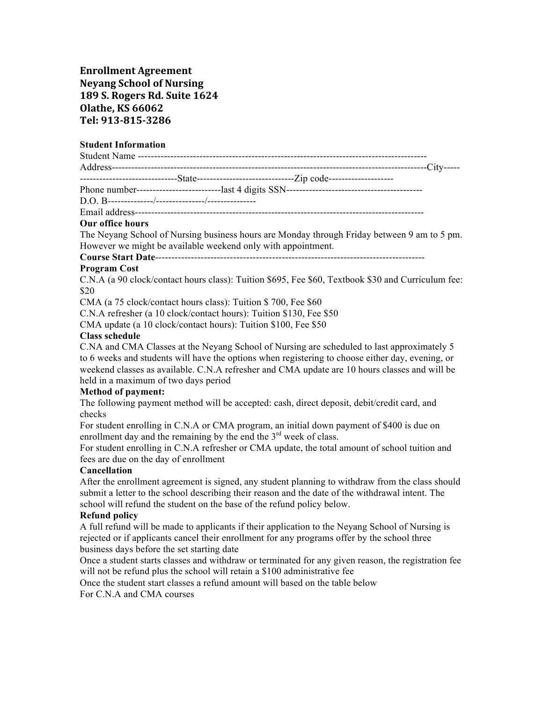# **Enrollment Agreement Neyang School of Nursing 189 S. Rogers Rd. Suite 1624 Olathe, KS 66062 Tel: 913-815-3286**

#### **Student Information**

#### **Our office hours**

The Neyang School of Nursing business hours are Monday through Friday between 9 am to 5 pm. However we might be available weekend only with appointment.

**Course Start Date**-----------------------------------------------------------------------------------

## **Program Cost**

C.N.A (a 90 clock/contact hours class): Tuition \$695, Fee \$60, Textbook \$30 and Curriculum fee: \$20

CMA (a 75 clock/contact hours class): Tuition \$ 700, Fee \$60

C.N.A refresher (a 10 clock/contact hours): Tuition \$130, Fee \$50

CMA update (a 10 clock/contact hours): Tuition \$100, Fee \$50

#### **Class schedule**

C.NA and CMA Classes at the Neyang School of Nursing are scheduled to last approximately 5 to 6 weeks and students will have the options when registering to choose either day, evening, or weekend classes as available. C.N.A refresher and CMA update are 10 hours classes and will be held in a maximum of two days period

#### **Method of payment:**

The following payment method will be accepted: cash, direct deposit, debit/credit card, and checks

For student enrolling in C.N.A or CMA program, an initial down payment of \$400 is due on enrollment day and the remaining by the end the  $3<sup>rd</sup>$  week of class.

For student enrolling in C.N.A refresher or CMA update, the total amount of school tuition and fees are due on the day of enrollment

#### **Cancellation**

After the enrollment agreement is signed, any student planning to withdraw from the class should submit a letter to the school describing their reason and the date of the withdrawal intent. The school will refund the student on the base of the refund policy below.

#### **Refund policy**

A full refund will be made to applicants if their application to the Neyang School of Nursing is rejected or if applicants cancel their enrollment for any programs offer by the school three business days before the set starting date

Once a student starts classes and withdraw or terminated for any given reason, the registration fee will not be refund plus the school will retain a \$100 administrative fee

Once the student start classes a refund amount will based on the table below

For C.N.A and CMA courses